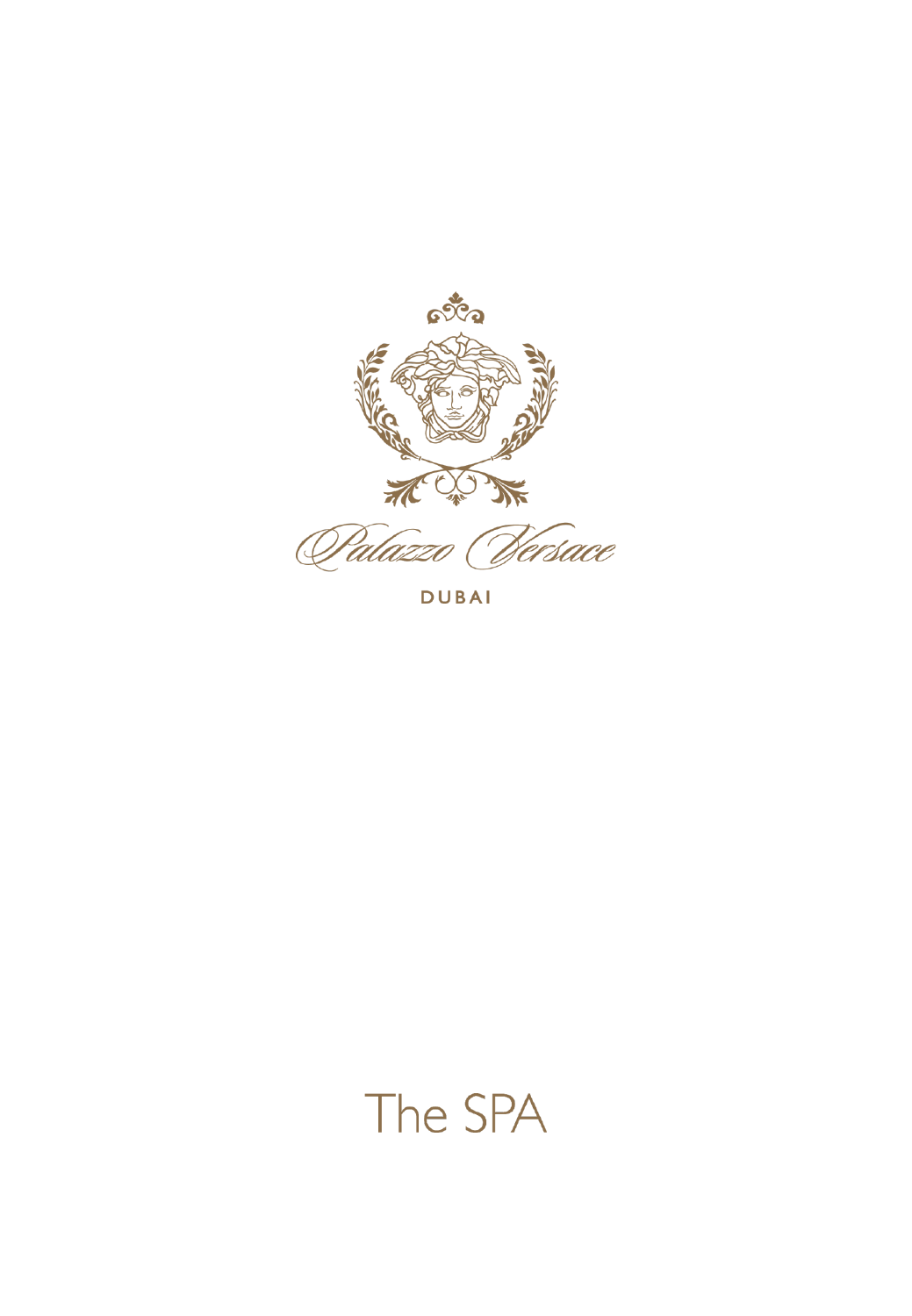

**DUBAI** 

# The SPA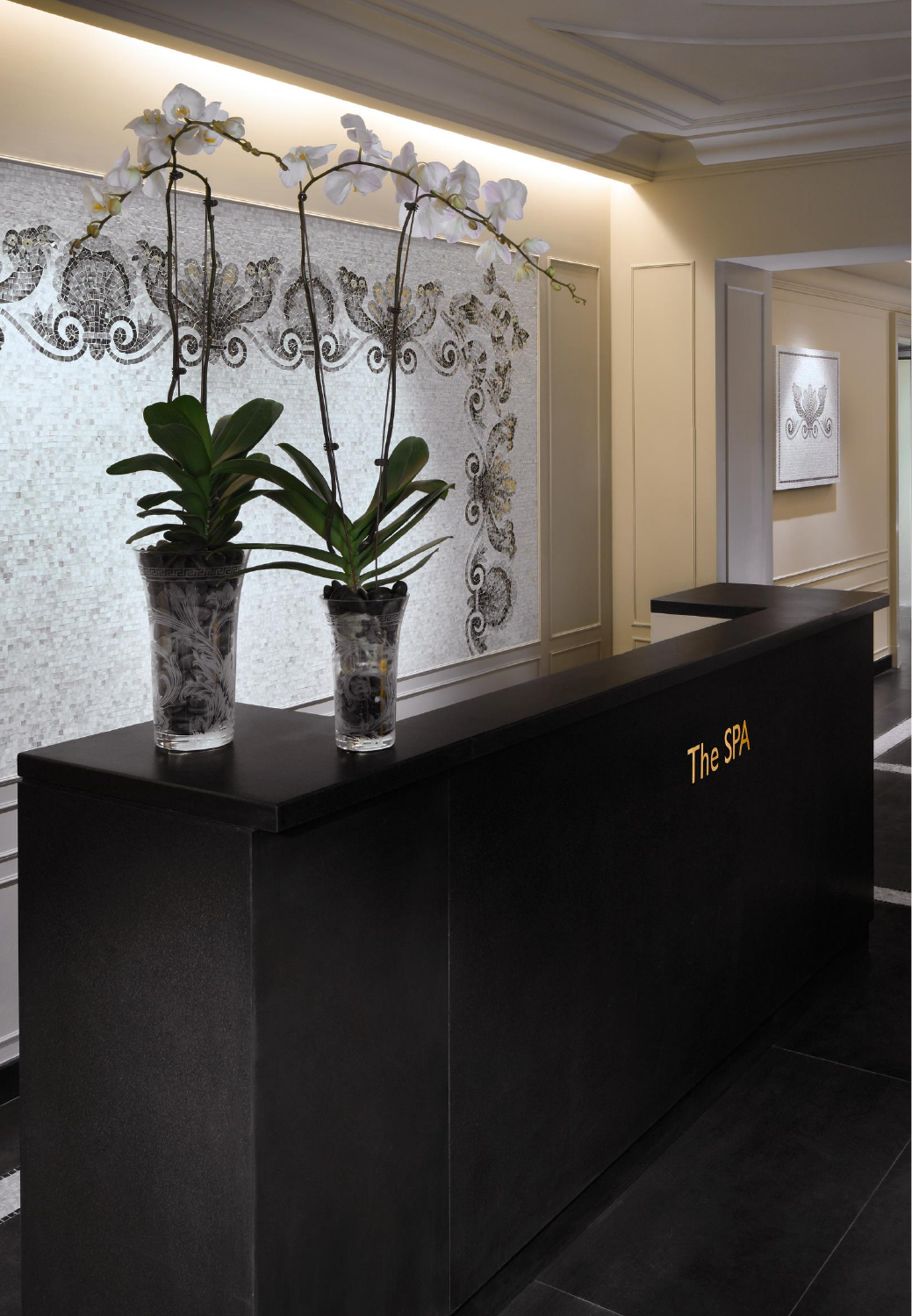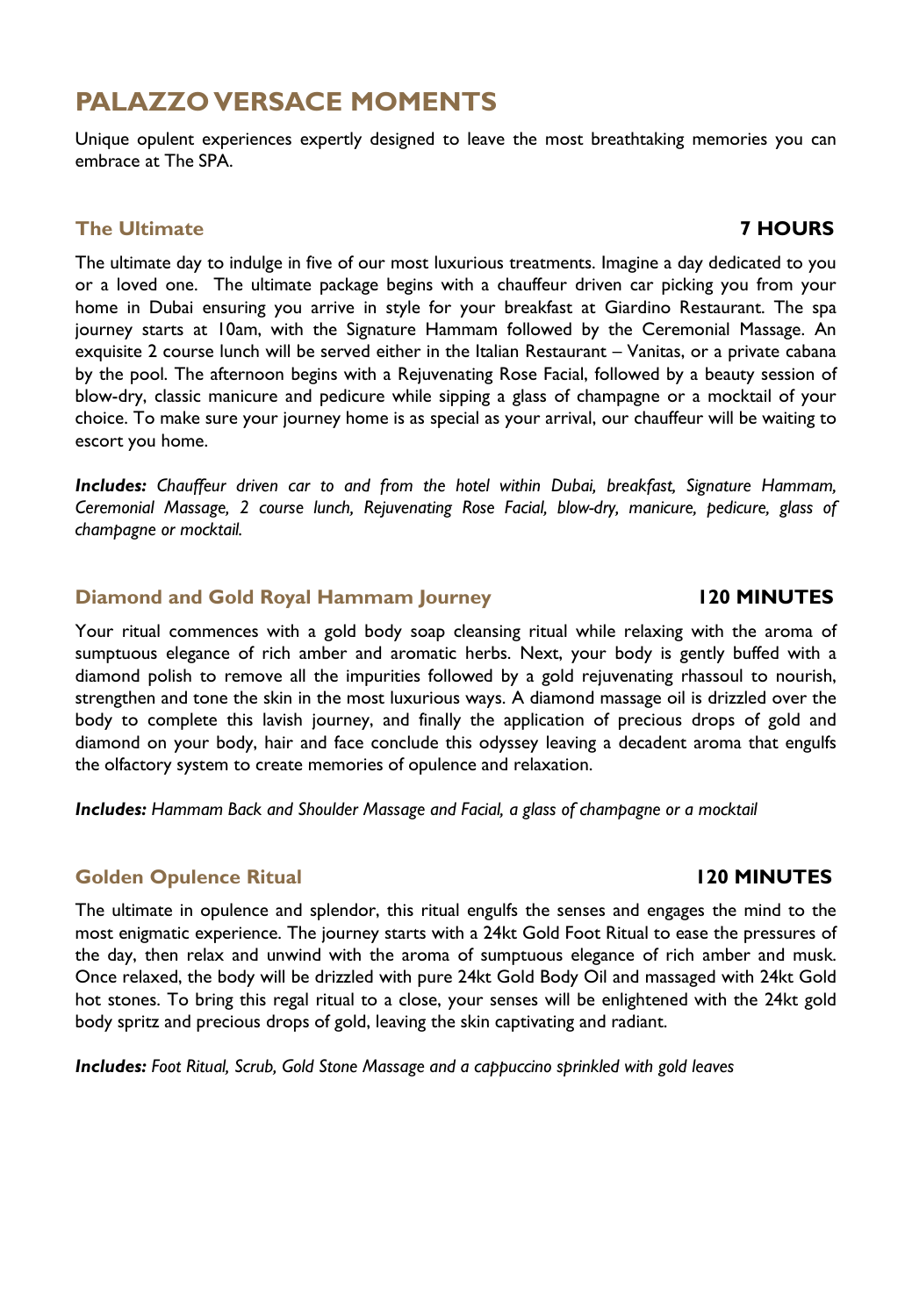## **PALAZZOVERSACE MOMENTS**

Unique opulent experiences expertly designed to leave the most breathtaking memories you can embrace at The SPA.

### **The Ultimate 7 HOURS**

The ultimate day to indulge in five of our most luxurious treatments. Imagine a day dedicated to you or a loved one. The ultimate package begins with a chauffeur driven car picking you from your home in Dubai ensuring you arrive in style for your breakfast at Giardino Restaurant. The spa journey starts at 10am, with the Signature Hammam followed by the Ceremonial Massage. An exquisite 2 course lunch will be served either in the Italian Restaurant – Vanitas, or a private cabana by the pool. The afternoon begins with a Rejuvenating Rose Facial, followed by a beauty session of blow-dry, classic manicure and pedicure while sipping a glass of champagne or a mocktail of your choice. To make sure your journey home is as special as your arrival, our chauffeur will be waiting to escort you home.

*Includes: Chauffeur driven car to and from the hotel within Dubai, breakfast, Signature Hammam, Ceremonial Massage, 2 course lunch, Rejuvenating Rose Facial, blow-dry, manicure, pedicure, glass of champagne or mocktail.*

### **Diamond and Gold Royal Hammam Journey 120 MINUTES**

Your ritual commences with a gold body soap cleansing ritual while relaxing with the aroma of sumptuous elegance of rich amber and aromatic herbs. Next, your body is gently buffed with a diamond polish to remove all the impurities followed by a gold rejuvenating rhassoul to nourish, strengthen and tone the skin in the most luxurious ways. A diamond massage oil is drizzled over the body to complete this lavish journey, and finally the application of precious drops of gold and diamond on your body, hair and face conclude this odyssey leaving a decadent aroma that engulfs the olfactory system to create memories of opulence and relaxation.

*Includes: Hammam Back and Shoulder Massage and Facial, a glass of champagne or a mocktail*

### **Golden Opulence Ritual 120 MINUTES**

The ultimate in opulence and splendor, this ritual engulfs the senses and engages the mind to the most enigmatic experience. The journey starts with a 24kt Gold Foot Ritual to ease the pressures of the day, then relax and unwind with the aroma of sumptuous elegance of rich amber and musk. Once relaxed, the body will be drizzled with pure 24kt Gold Body Oil and massaged with 24kt Gold hot stones. To bring this regal ritual to a close, your senses will be enlightened with the 24kt gold body spritz and precious drops of gold, leaving the skin captivating and radiant.

*Includes: Foot Ritual, Scrub, Gold Stone Massage and a cappuccino sprinkled with gold leaves*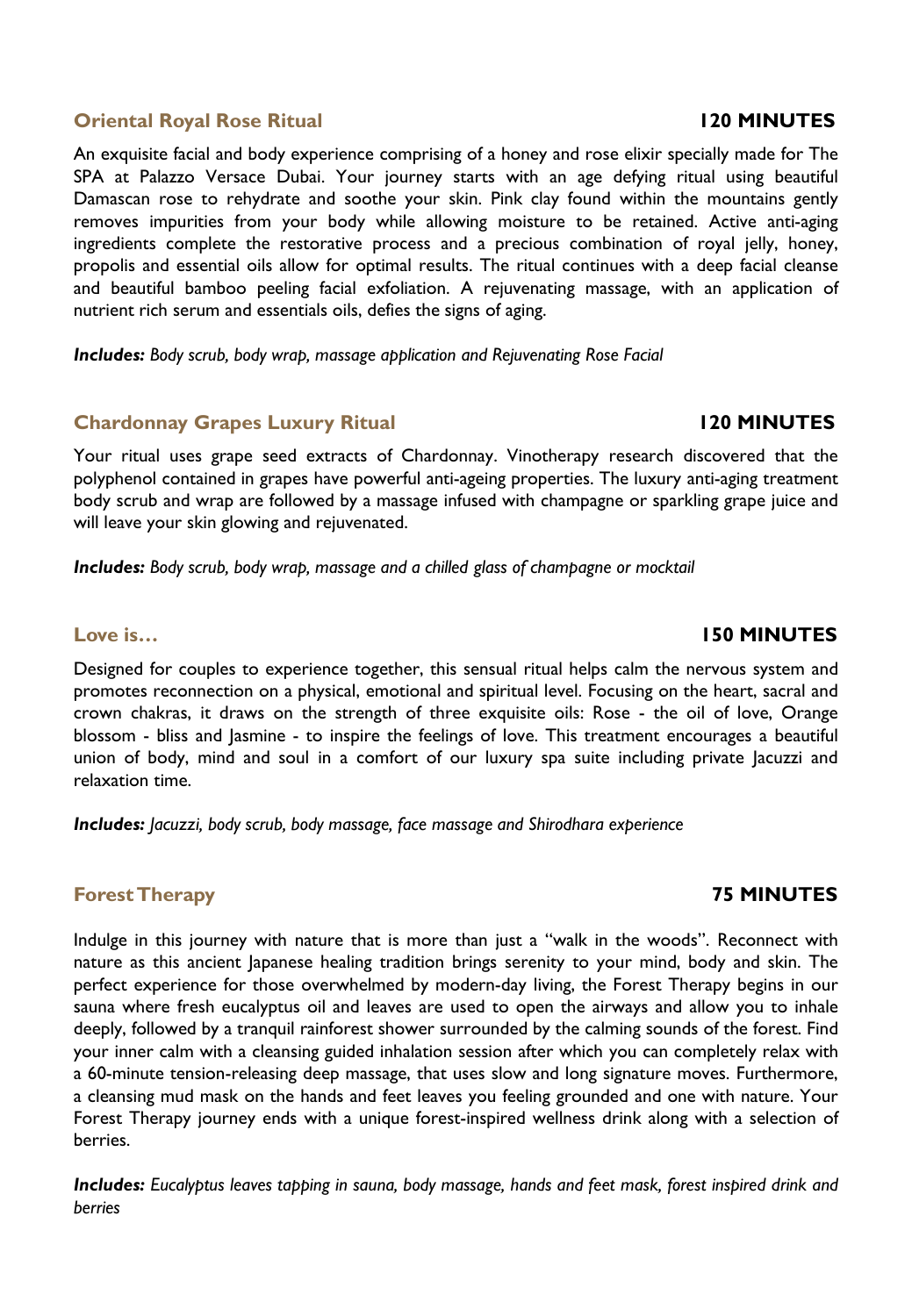### **Oriental Royal Rose Ritual 120 MINUTES**

An exquisite facial and body experience comprising of a honey and rose elixir specially made for The SPA at Palazzo Versace Dubai. Your journey starts with an age defying ritual using beautiful Damascan rose to rehydrate and soothe your skin. Pink clay found within the mountains gently removes impurities from your body while allowing moisture to be retained. Active anti-aging ingredients complete the restorative process and a precious combination of royal jelly, honey, propolis and essential oils allow for optimal results. The ritual continues with a deep facial cleanse and beautiful bamboo peeling facial exfoliation. A rejuvenating massage, with an application of nutrient rich serum and essentials oils, defies the signs of aging.

*Includes: Body scrub, body wrap, massage application and Rejuvenating Rose Facial*

### **Chardonnay Grapes Luxury Ritual 120 MINUTES**

Your ritual uses grape seed extracts of Chardonnay. Vinotherapy research discovered that the polyphenol contained in grapes have powerful anti-ageing properties. The luxury anti-aging treatment body scrub and wrap are followed by a massage infused with champagne or sparkling grape juice and will leave your skin glowing and rejuvenated.

*Includes: Body scrub, body wrap, massage and a chilled glass of champagne or mocktail*

### **Love is… 150 MINUTES**

Designed for couples to experience together, this sensual ritual helps calm the nervous system and promotes reconnection on a physical, emotional and spiritual level. Focusing on the heart, sacral and crown chakras, it draws on the strength of three exquisite oils: Rose - the oil of love, Orange blossom - bliss and Jasmine - to inspire the feelings of love. This treatment encourages a beautiful union of body, mind and soul in a comfort of our luxury spa suite including private Jacuzzi and relaxation time.

*Includes: Jacuzzi, body scrub, body massage, face massage and Shirodhara experience*

### **ForestTherapy 75 MINUTES**

Indulge in this journey with nature that is more than just a "walk in the woods". Reconnect with nature as this ancient Japanese healing tradition brings serenity to your mind, body and skin. The perfect experience for those overwhelmed by modern-day living, the Forest Therapy begins in our sauna where fresh eucalyptus oil and leaves are used to open the airways and allow you to inhale deeply, followed by a tranquil rainforest shower surrounded by the calming sounds of the forest. Find your inner calm with a cleansing guided inhalation session after which you can completely relax with a 60-minute tension-releasing deep massage, that uses slow and long signature moves. Furthermore, a cleansing mud mask on the hands and feet leaves you feeling grounded and one with nature. Your Forest Therapy journey ends with a unique forest-inspired wellness drink along with a selection of berries.

*Includes: Eucalyptus leaves tapping in sauna, body massage, hands and feet mask, forest inspired drink and berries*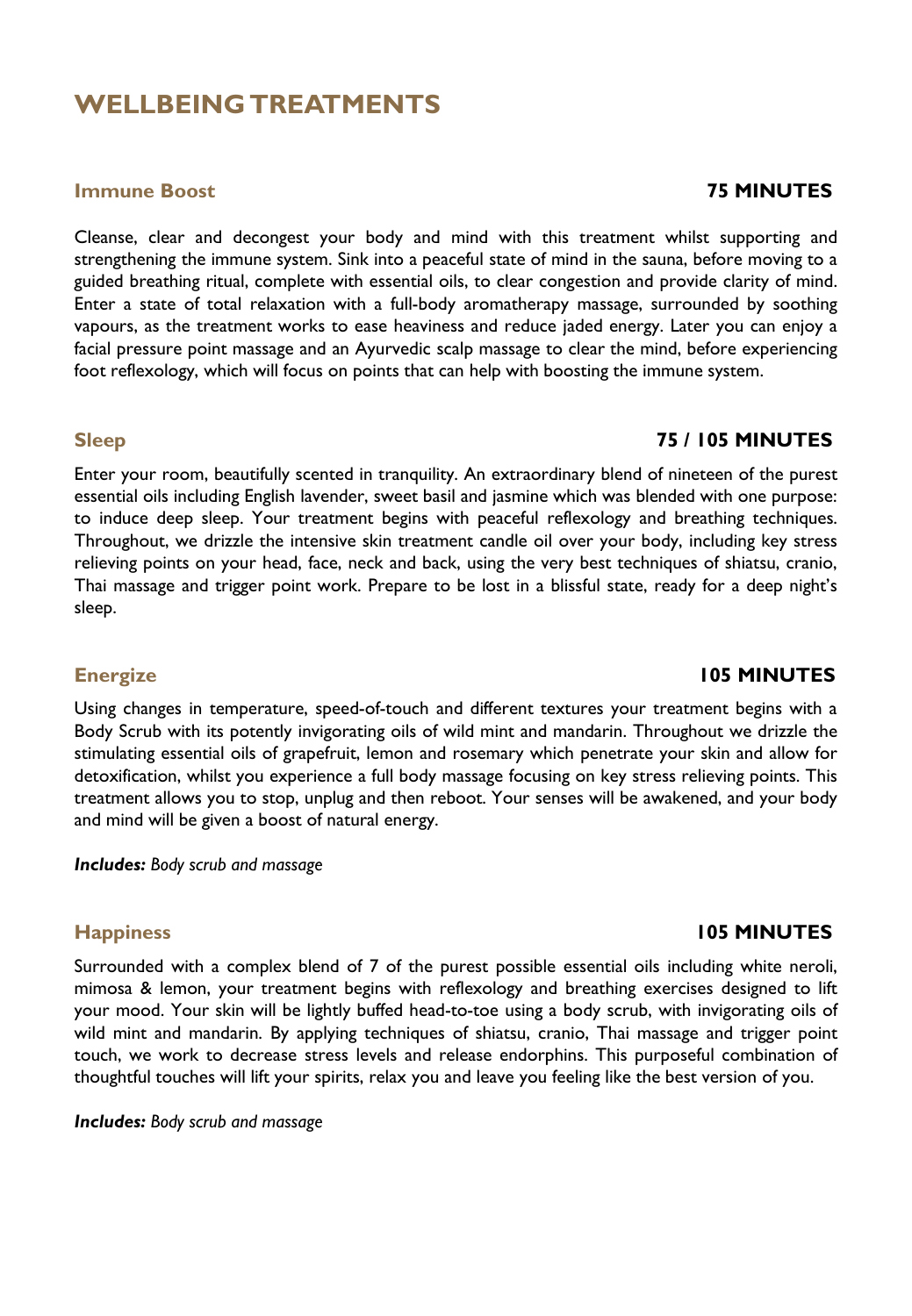## **WELLBEING TREATMENTS**

### **Immune Boost 75 MINUTES**

Cleanse, clear and decongest your body and mind with this treatment whilst supporting and strengthening the immune system. Sink into a peaceful state of mind in the sauna, before moving to a guided breathing ritual, complete with essential oils, to clear congestion and provide clarity of mind. Enter a state of total relaxation with a full-body aromatherapy massage, surrounded by soothing vapours, as the treatment works to ease heaviness and reduce jaded energy. Later you can enjoy a facial pressure point massage and an Ayurvedic scalp massage to clear the mind, before experiencing foot reflexology, which will focus on points that can help with boosting the immune system.

### **Sleep 75 / 105 MINUTES**

Enter your room, beautifully scented in tranquility. An extraordinary blend of nineteen of the purest essential oils including English lavender, sweet basil and jasmine which was blended with one purpose: to induce deep sleep. Your treatment begins with peaceful reflexology and breathing techniques. Throughout, we drizzle the intensive skin treatment candle oil over your body, including key stress relieving points on your head, face, neck and back, using the very best techniques of shiatsu, cranio, Thai massage and trigger point work. Prepare to be lost in a blissful state, ready for a deep night's sleep.

### **Energize 105 MINUTES**

Using changes in temperature, speed-of-touch and different textures your treatment begins with a Body Scrub with its potently invigorating oils of wild mint and mandarin. Throughout we drizzle the stimulating essential oils of grapefruit, lemon and rosemary which penetrate your skin and allow for detoxification, whilst you experience a full body massage focusing on key stress relieving points. This treatment allows you to stop, unplug and then reboot. Your senses will be awakened, and your body and mind will be given a boost of natural energy.

### *Includes: Body scrub and massage*

Surrounded with a complex blend of 7 of the purest possible essential oils including white neroli, mimosa & lemon, your treatment begins with reflexology and breathing exercises designed to lift your mood. Your skin will be lightly buffed head-to-toe using a body scrub, with invigorating oils of wild mint and mandarin. By applying techniques of shiatsu, cranio, Thai massage and trigger point touch, we work to decrease stress levels and release endorphins. This purposeful combination of thoughtful touches will lift your spirits, relax you and leave you feeling like the best version of you.

### *Includes: Body scrub and massage*

### **Happiness 105 MINUTES**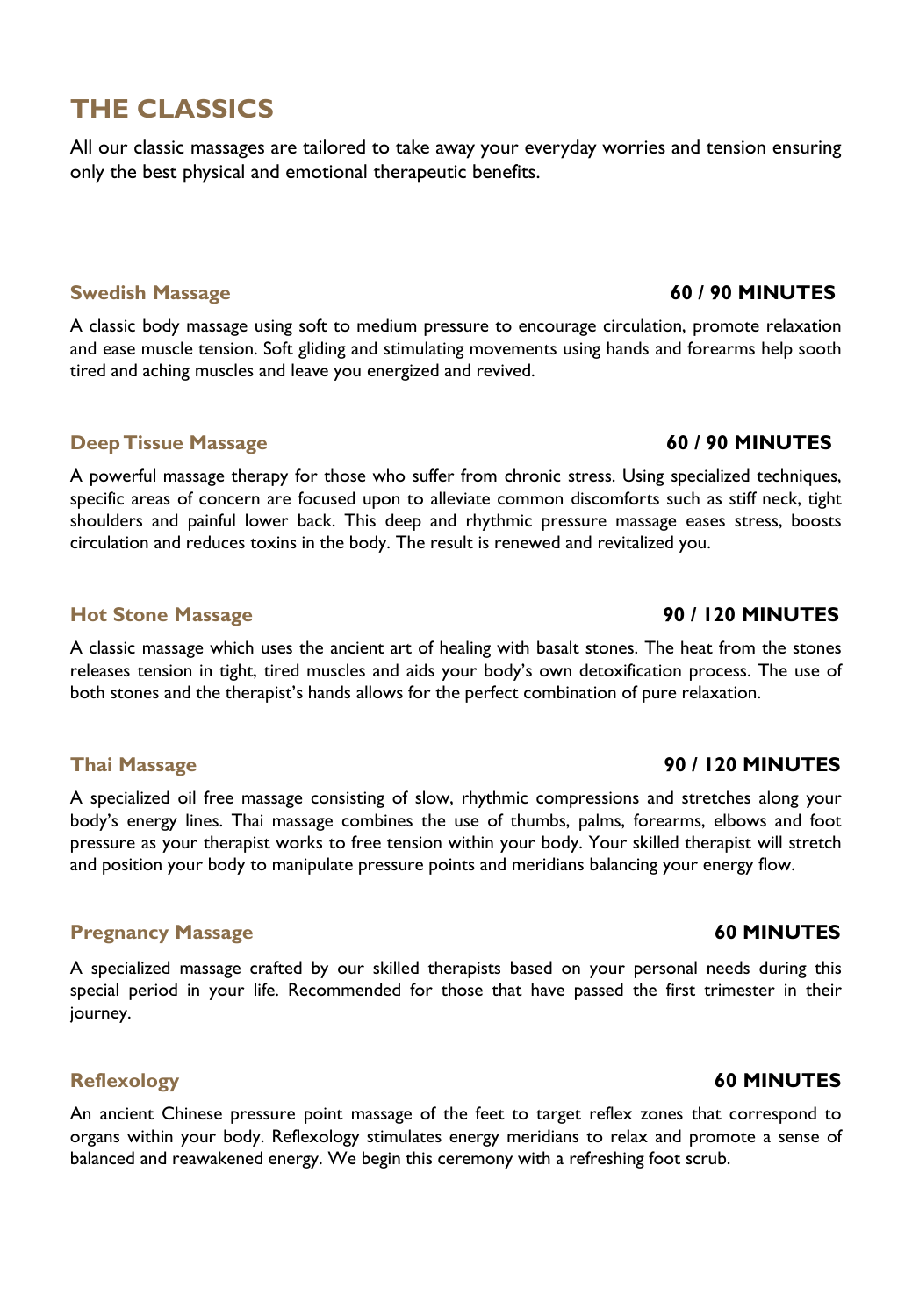## **THE CLASSICS**

All our classic massages are tailored to take away your everyday worries and tension ensuring only the best physical and emotional therapeutic benefits.

### **Swedish Massage 60 / 90 MINUTES**

A classic body massage using soft to medium pressure to encourage circulation, promote relaxation and ease muscle tension. Soft gliding and stimulating movements using hands and forearms help sooth tired and aching muscles and leave you energized and revived.

### **DeepTissue Massage 60 / 90 MINUTES**

A powerful massage therapy for those who suffer from chronic stress. Using specialized techniques, specific areas of concern are focused upon to alleviate common discomforts such as stiff neck, tight shoulders and painful lower back. This deep and rhythmic pressure massage eases stress, boosts circulation and reduces toxins in the body. The result is renewed and revitalized you.

### **Hot Stone Massage 90 / 120 MINUTES**

A classic massage which uses the ancient art of healing with basalt stones. The heat from the stones releases tension in tight, tired muscles and aids your body's own detoxification process. The use of both stones and the therapist's hands allows for the perfect combination of pure relaxation.

### **Thai Massage 90 / 120 MINUTES**

A specialized oil free massage consisting of slow, rhythmic compressions and stretches along your body's energy lines. Thai massage combines the use of thumbs, palms, forearms, elbows and foot pressure as your therapist works to free tension within your body. Your skilled therapist will stretch and position your body to manipulate pressure points and meridians balancing your energy flow.

### **Pregnancy Massage 60 MINUTES**

A specialized massage crafted by our skilled therapists based on your personal needs during this special period in your life. Recommended for those that have passed the first trimester in their journey.

An ancient Chinese pressure point massage of the feet to target reflex zones that correspond to organs within your body. Reflexology stimulates energy meridians to relax and promote a sense of balanced and reawakened energy. We begin this ceremony with a refreshing foot scrub.

### **Reflexology 60 MINUTES**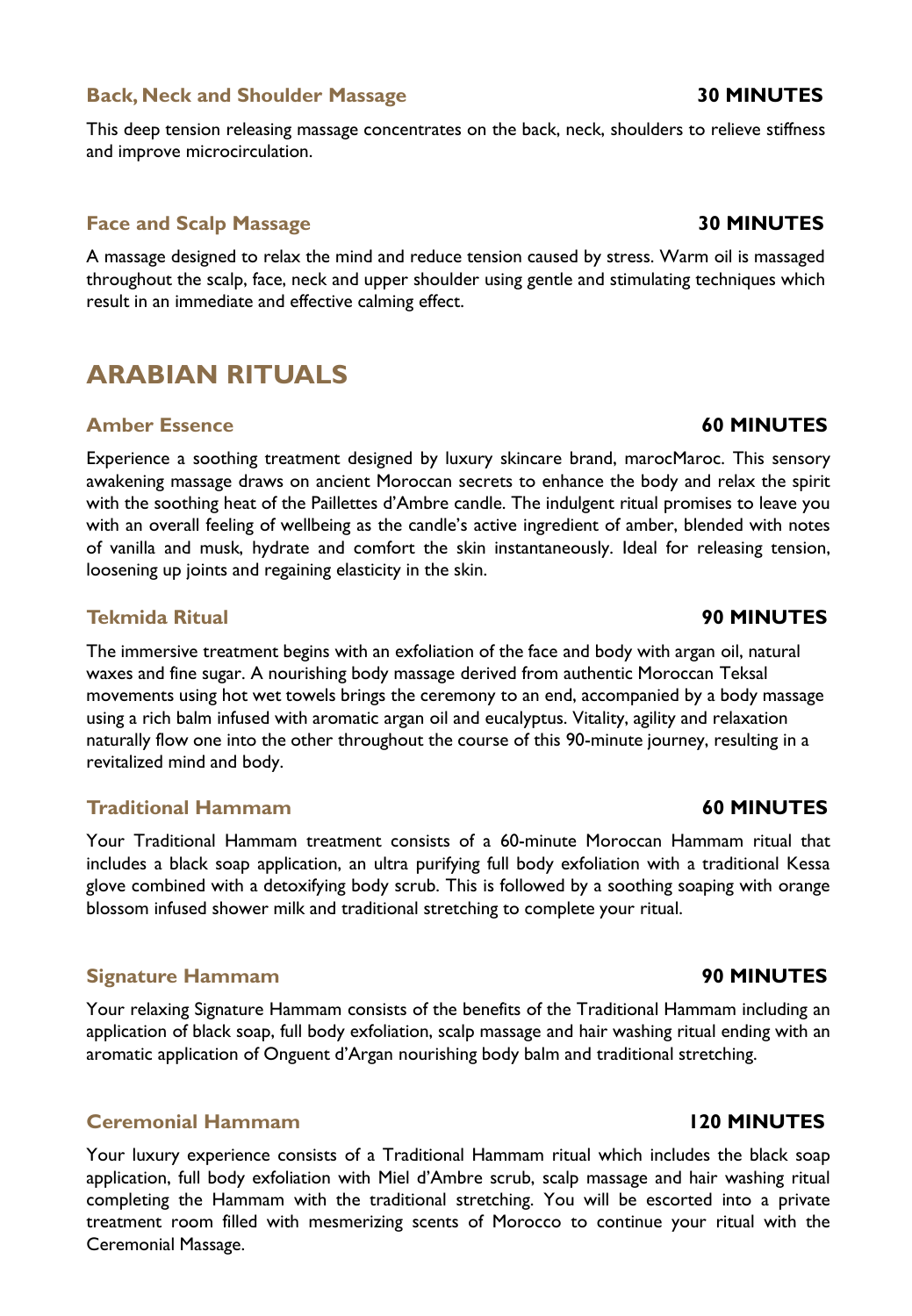### **Back, Neck and Shoulder Massage 30 MINUTES**

This deep tension releasing massage concentrates on the back, neck, shoulders to relieve stiffness and improve microcirculation.

### **Face and Scalp Massage 30 MINUTES**

A massage designed to relax the mind and reduce tension caused by stress. Warm oil is massaged throughout the scalp, face, neck and upper shoulder using gentle and stimulating techniques which result in an immediate and effective calming effect.

## **ARABIAN RITUALS**

### **Amber Essence 60 MINUTES**

Experience a soothing treatment designed by luxury skincare brand, marocMaroc. This sensory awakening massage draws on ancient Moroccan secrets to enhance the body and relax the spirit with the soothing heat of the Paillettes d'Ambre candle. The indulgent ritual promises to leave you with an overall feeling of wellbeing as the candle's active ingredient of amber, blended with notes of vanilla and musk, hydrate and comfort the skin instantaneously. Ideal for releasing tension, loosening up joints and regaining elasticity in the skin.

### **Tekmida Ritual 90 MINUTES**

The immersive treatment begins with an exfoliation of the face and body with argan oil, natural waxes and fine sugar. A nourishing body massage derived from authentic Moroccan Teksal movements using hot wet towels brings the ceremony to an end, accompanied by a body massage using a rich balm infused with aromatic argan oil and eucalyptus. Vitality, agility and relaxation naturally flow one into the other throughout the course of this 90-minute journey, resulting in a revitalized mind and body.

### **Traditional Hammam 60 MINUTES**

Your Traditional Hammam treatment consists of a 60-minute Moroccan Hammam ritual that includes a black soap application, an ultra purifying full body exfoliation with a traditional Kessa glove combined with a detoxifying body scrub. This is followed by a soothing soaping with orange blossom infused shower milk and traditional stretching to complete your ritual.

### **Signature Hammam 90 MINUTES**

Your relaxing Signature Hammam consists of the benefits of the Traditional Hammam including an application of black soap, full body exfoliation, scalp massage and hair washing ritual ending with an aromatic application of Onguent d'Argan nourishing body balm and traditional stretching.

### **Ceremonial Hammam 120 MINUTES**

Your luxury experience consists of a Traditional Hammam ritual which includes the black soap application, full body exfoliation with Miel d'Ambre scrub, scalp massage and hair washing ritual completing the Hammam with the traditional stretching. You will be escorted into a private treatment room filled with mesmerizing scents of Morocco to continue your ritual with the Ceremonial Massage.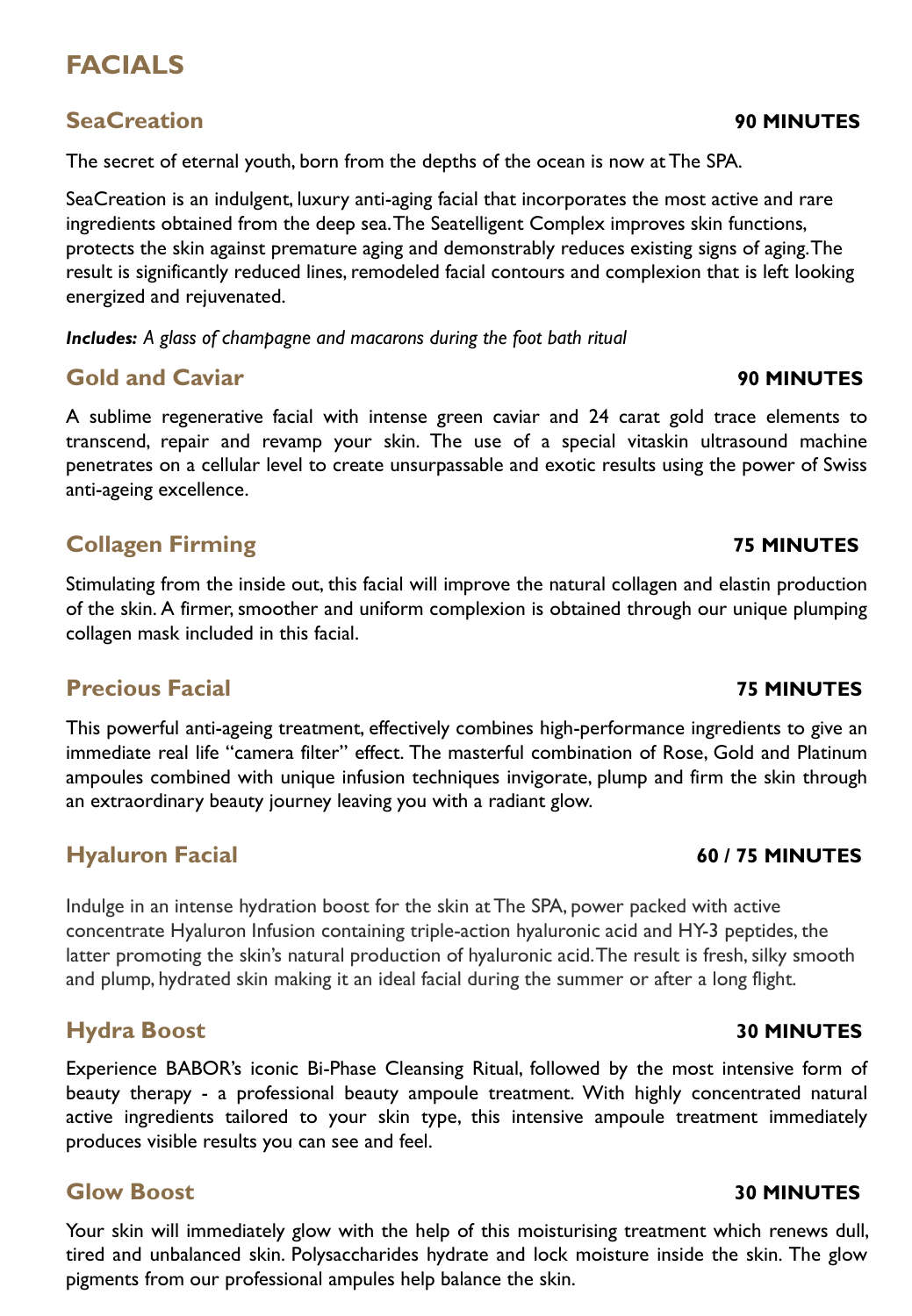## **FACIALS**

## **SeaCreation 90 MINUTES**

The secret of eternal youth, born from the depths of the ocean is now at The SPA.

SeaCreation is an indulgent, luxury anti-aging facial that incorporates the most active and rare ingredients obtained from the deep sea. The Seatelligent Complex improves skin functions, protects the skin against premature aging and demonstrably reduces existing signs of aging. The result is significantly reduced lines, remodeled facial contours and complexion that is left looking energized and rejuvenated.

*Includes: A glass of champagne and macarons during the foot bath ritual*

## **Gold and Caviar 90 MINUTES**

A sublime regenerative facial with intense green caviar and 24 carat gold trace elements to transcend, repair and revamp your skin. The use of a special vitaskin ultrasound machine penetrates on a cellular level to create unsurpassable and exotic results using the power of Swiss anti-ageing excellence.

## **Collagen Firming 75 MINUTES**

Stimulating from the inside out, this facial will improve the natural collagen and elastin production of the skin. A firmer, smoother and uniform complexion is obtained through our unique plumping collagen mask included in this facial.

## **Precious Facial 75 MINUTES**

This powerful anti-ageing treatment, effectively combines high-performance ingredients to give an immediate real life "camera filter" effect. The masterful combination of Rose, Gold and Platinum ampoules combined with unique infusion techniques invigorate, plump and firm the skin through an extraordinary beauty journey leaving you with a radiant glow.

## **Hyaluron Facial 60 / 75 MINUTES**

Indulge in an intense hydration boost for the skin at The SPA, power packed with active concentrate Hyaluron Infusion containing triple-action hyaluronic acid and HY-3 peptides, the latter promoting the skin's natural production of hyaluronic acid. The result is fresh, silky smooth and plump, hydrated skin making it an ideal facial during the summer or after a long flight.

## **Hydra Boost 30 MINUTES**

Experience BABOR's iconic Bi-Phase Cleansing Ritual, followed by the most intensive form of beauty therapy - a professional beauty ampoule treatment. With highly concentrated natural active ingredients tailored to your skin type, this intensive ampoule treatment immediately produces visible results you can see and feel.

## **Glow Boost 30 MINUTES**

Your skin will immediately glow with the help of this moisturising treatment which renews dull, tired and unbalanced skin. Polysaccharides hydrate and lock moisture inside the skin. The glow pigments from our professional ampules help balance the skin.